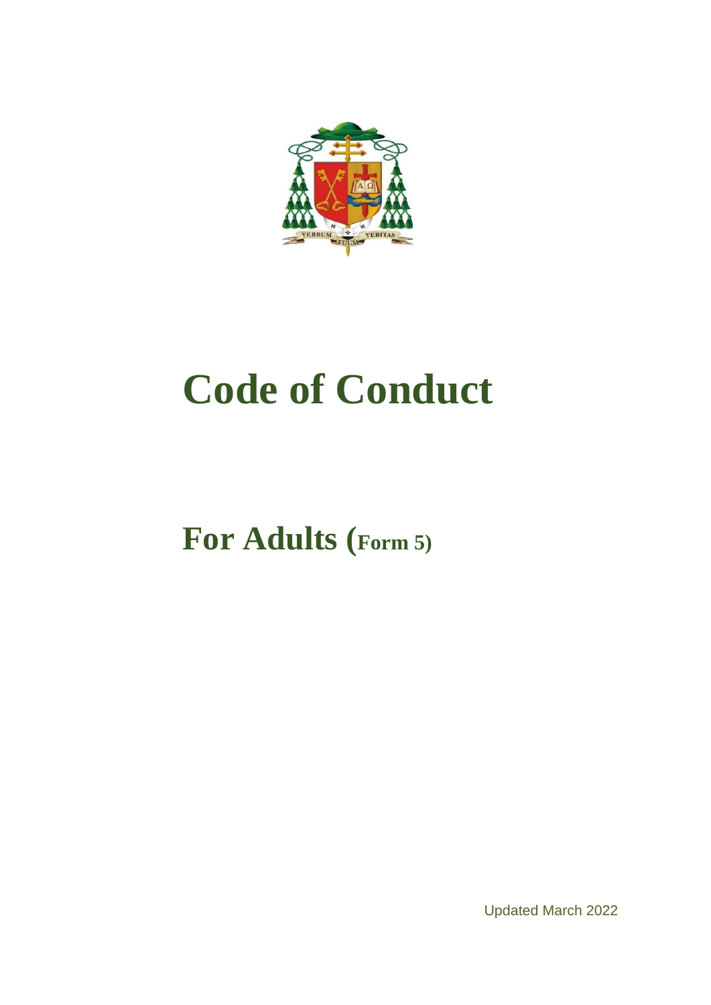

# **Code of Conduct**

**For Adults (Form 5)**

Updated March 2022